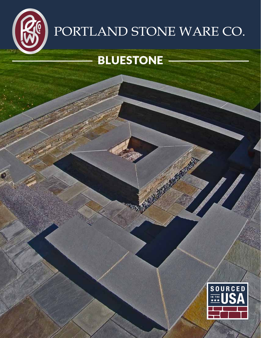

# PORTLAND STONE WARE CO.

### BLUESTONE

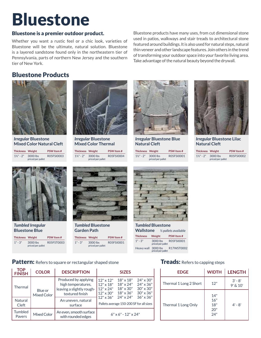## Bluestone

#### Bluestone is a premier outdoor product.

Whether you want a rustic feel or a chic look, varieties of Bluestone will be the ultimate, natural solution. Bluestone is a layered sandstone found only in the northeastern tier of Pennsylvania, parts of northern New Jersey and the southern tier of New York.

Bluestone products have many uses, from cut dimensional stone used in patios, walkways and stair treads to architectural stone featured around buildings. It is also used for natural steps, natural thin veneer and other landscape features. Join others in the trend of transforming your outdoor space into your favorite living area. Take advantage of the natural beauty beyond the drywall.

#### Bluestone Products



*Irregular* **Bluestone Mixed Color Natural Cleft**

| <b>Thickness Weight</b>        |                   | <b>PSW Item#</b> |  |
|--------------------------------|-------------------|------------------|--|
| $1\frac{1}{2}$ " - 2" 3000 lbs | priced per pallet | R05FSI0003       |  |



*Irregular* **Bluestone Mixed Color Thermal**

1½" - 2" 3000 lbs R05FSI0004 priced per pallet **Thickness Weight PSW Item #**



*Irregular* **Bluestone Blue Natural Cleft**

| <b>Thickness Weight</b>        |                   | <b>PSW Item#</b> |
|--------------------------------|-------------------|------------------|
| $1\frac{1}{2}$ " - 2" 3000 lbs | priced per pallet | R05FSI0001       |



*Irregular* **Bluestone Lilac Natural Cleft**

| <b>Thickness Weight</b>        |                   | <b>PSW Item#</b> |
|--------------------------------|-------------------|------------------|
| $1\frac{1}{2}$ " - 2" 3000 lbs | priced per pallet | R05FSI0002       |



*Tumbled Irregular* **Bluestone Blue**

| <b>Thickness Weight</b> |                               | <b>PSW Item#</b> |
|-------------------------|-------------------------------|------------------|
| $1" - 3"$               | 3000 lbs<br>priced per pallet | R05FST0003       |



#### *Tumbled* **Bluestone Garden Path**

1" - 3" 3000 lbs R05FSI0001 priced per pallet **Thickness Weight PSW Item #**



| 10111101140 DIUGSLOTI <del>a</del><br><b>Wallstone</b><br>$\frac{1}{2}$ pallets available |                               |                       |  |
|-------------------------------------------------------------------------------------------|-------------------------------|-----------------------|--|
| <b>Thickness</b>                                                                          | Weight                        | <b>PSW Item#</b>      |  |
| $1" - 3"$                                                                                 | 3000 lbs<br>priced per pallet | R05FSI0001            |  |
| Heavy wall                                                                                | priced per pallet             | 3000 lbs   R17WST0002 |  |

#### Pattern: Refers to square or rectangular shaped stone Treads: Refers to capping steps

| <b>TOP</b><br><b>FINISH</b>                      | <b>COLOR</b>           | <b>DESCRIPTION</b>                                                                                                          | <b>SIZES</b>                                                                                                                                                                                                                                                                                                                        |
|--------------------------------------------------|------------------------|-----------------------------------------------------------------------------------------------------------------------------|-------------------------------------------------------------------------------------------------------------------------------------------------------------------------------------------------------------------------------------------------------------------------------------------------------------------------------------|
| <b>Thermal</b><br><b>Natural</b><br><b>Cleft</b> | Blue or<br>Mixed Color | Produced by applying<br>high temperatures,<br>leaving a slightly rough-<br>textured finish<br>An uneven, natural<br>surface | $24" \times 30"$<br>$12" \times 12"$<br>$18" \times 18"$<br>18" x 24"<br>24" x 36"<br>$12" \times 18"$<br>$18" \times 30"$<br>$30'' \times 30''$<br>$12" \times 24"$<br>$18" \times 36"$<br>$30'' \times 36''$<br>$12" \times 30"$<br>$36" \times 36"$<br>24" x 24"<br>$12" \times 36"$<br>Pallets average 150-200 SF for all sizes |
| Tumbled<br>Pavers                                | Mixed Color            | An even, smooth surface<br>with rounded edges                                                                               | $6" \times 6" - 12" \times 24"$                                                                                                                                                                                                                                                                                                     |

| <b>EDGE</b>            | <b>WIDTH</b>                    | <b>LENGTH</b>             |
|------------------------|---------------------------------|---------------------------|
| Thermal 1 Long 2 Short | 12"                             | $3' - 8'$<br>$9'$ & $10'$ |
| Thermal 1 Long Only    | 14"<br>16"<br>18"<br>20"<br>24" | $4' - 8'$                 |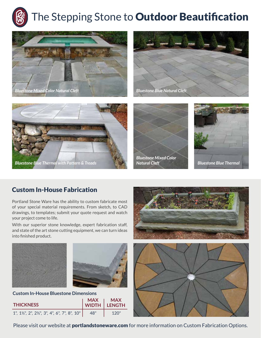









*Bluestone Mixed Color* 



### Custom In-House Fabrication

Portland Stone Ware has the ability to custom fabricate most of your special material requirements. From sketch, to CAD drawings, to templates; submit your quote request and watch your project come to life.

With our superior stone knowledge, expert fabrication staff, and state of the art stone cutting equipment, we can turn ideas into finished product.





#### **Custom In-House Bluestone Dimensions**

| <b>THICKNESS</b>                                                                                  |     | MAX   MAX<br> WIDTH  LENGTH |
|---------------------------------------------------------------------------------------------------|-----|-----------------------------|
| 1", 1 <sup>1</sup> / <sub>2</sub> ", 2", 2 <sup>1</sup> / <sub>2</sub> ", 3", 4", 6", 7", 8", 10" | 48" |                             |





Please visit our website at **portlandstoneware.com** for more information on Custom Fabrication Options.